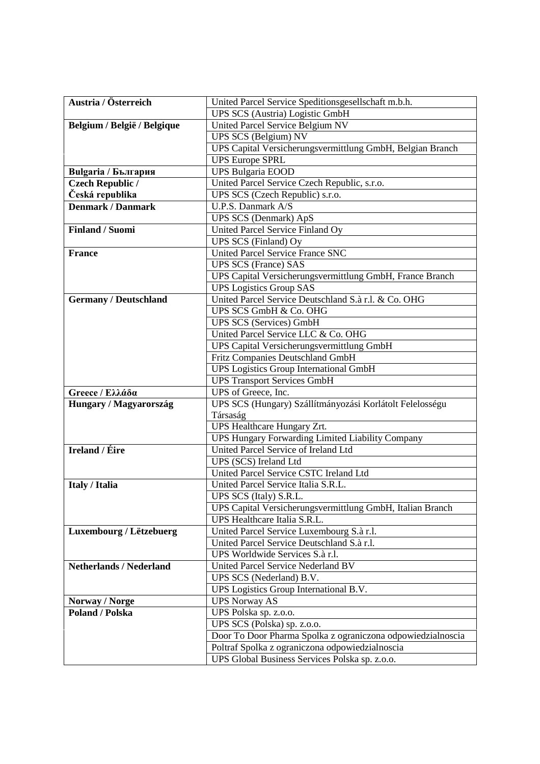| Austria / Österreich           | United Parcel Service Speditionsgesellschaft m.b.h.             |
|--------------------------------|-----------------------------------------------------------------|
|                                | UPS SCS (Austria) Logistic GmbH                                 |
| Belgium / België / Belgique    | United Parcel Service Belgium NV                                |
|                                | UPS SCS (Belgium) NV                                            |
|                                | UPS Capital Versicherungsvermittlung GmbH, Belgian Branch       |
|                                | <b>UPS Europe SPRL</b>                                          |
| <b>Bulgaria / България</b>     | <b>UPS Bulgaria EOOD</b>                                        |
| <b>Czech Republic /</b>        | United Parcel Service Czech Republic, s.r.o.                    |
| Česká republika                | UPS SCS (Czech Republic) s.r.o.                                 |
| <b>Denmark / Danmark</b>       | U.P.S. Danmark A/S                                              |
|                                | <b>UPS SCS (Denmark) ApS</b>                                    |
| <b>Finland / Suomi</b>         | United Parcel Service Finland Oy                                |
|                                | UPS SCS (Finland) Oy                                            |
| <b>France</b>                  | United Parcel Service France SNC                                |
|                                | <b>UPS SCS (France) SAS</b>                                     |
|                                | UPS Capital Versicherungsvermittlung GmbH, France Branch        |
|                                | <b>UPS Logistics Group SAS</b>                                  |
| <b>Germany / Deutschland</b>   | United Parcel Service Deutschland S.à r.l. & Co. OHG            |
|                                | UPS SCS GmbH & Co. OHG                                          |
|                                | <b>UPS SCS (Services) GmbH</b>                                  |
|                                | United Parcel Service LLC & Co. OHG                             |
|                                | UPS Capital Versicherungsvermittlung GmbH                       |
|                                | Fritz Companies Deutschland GmbH                                |
|                                | <b>UPS</b> Logistics Group International GmbH                   |
|                                | <b>UPS Transport Services GmbH</b>                              |
| Greece / Ελλάδα                | UPS of Greece, Inc.                                             |
| Hungary / Magyarország         | UPS SCS (Hungary) Szállítmányozási Korlátolt Felelosségu        |
|                                | Társaság                                                        |
|                                | UPS Healthcare Hungary Zrt.                                     |
|                                | UPS Hungary Forwarding Limited Liability Company                |
| <b>Ireland / Éire</b>          | United Parcel Service of Ireland Ltd                            |
|                                | UPS (SCS) Ireland Ltd<br>United Parcel Service CSTC Ireland Ltd |
| <b>Italy / Italia</b>          | United Parcel Service Italia S.R.L.                             |
|                                | UPS SCS (Italy) S.R.L.                                          |
|                                | UPS Capital Versicherungsvermittlung GmbH, Italian Branch       |
|                                | UPS Healthcare Italia S.R.L.                                    |
| Luxembourg / Lëtzebuerg        | United Parcel Service Luxembourg S.à r.l.                       |
|                                | United Parcel Service Deutschland S.à r.l.                      |
|                                | UPS Worldwide Services S.à r.l.                                 |
| <b>Netherlands / Nederland</b> | United Parcel Service Nederland BV                              |
|                                | UPS SCS (Nederland) B.V.                                        |
|                                | UPS Logistics Group International B.V.                          |
| Norway / Norge                 | <b>UPS Norway AS</b>                                            |
| <b>Poland / Polska</b>         | UPS Polska sp. z.o.o.                                           |
|                                | UPS SCS (Polska) sp. z.o.o.                                     |
|                                | Door To Door Pharma Spolka z ograniczona odpowiedzialnoscia     |
|                                | Poltraf Spolka z ograniczona odpowiedzialnoscia                 |
|                                | UPS Global Business Services Polska sp. z.o.o.                  |